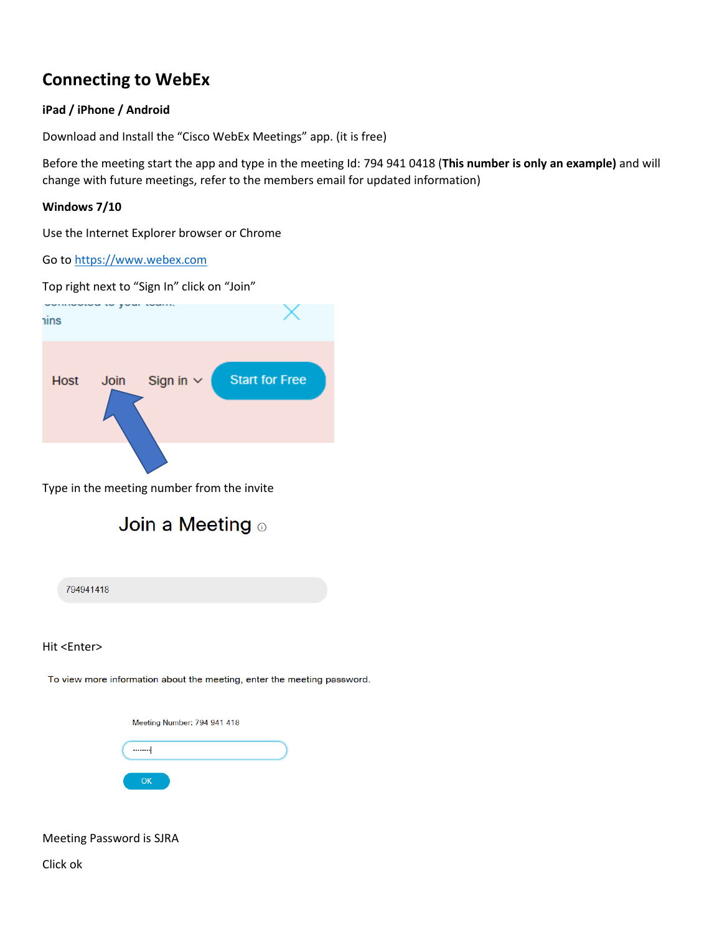## **Connecting to WebEx**

## **iPad / iPhone / Android**

Download and Install the "Cisco WebEx Meetings" app. (it is free)

Before the meeting start the app and type in the meeting Id: 794 941 0418 (**This number is only an example)** and will change with future meetings, refer to the members email for updated information)

## **Windows 7/10**

Use the Internet Explorer browser or Chrome

Go to [https://www.webex.com](https://www.webex.com/)

Top right next to "Sign In" click on "Join"



Type in the meeting number from the invite



794941418

Hit <Enter>

To view more information about the meeting, enter the meeting password.

Meeting Number: 794 941 418  $\cdots$  $\mathsf{OK}% _{\mathsf{CL}}\times\mathsf{CK}_{\mathsf{CL}}^{\mathsf{CL}}(\mathsf{CL})$ 

Meeting Password is SJRA

Click ok